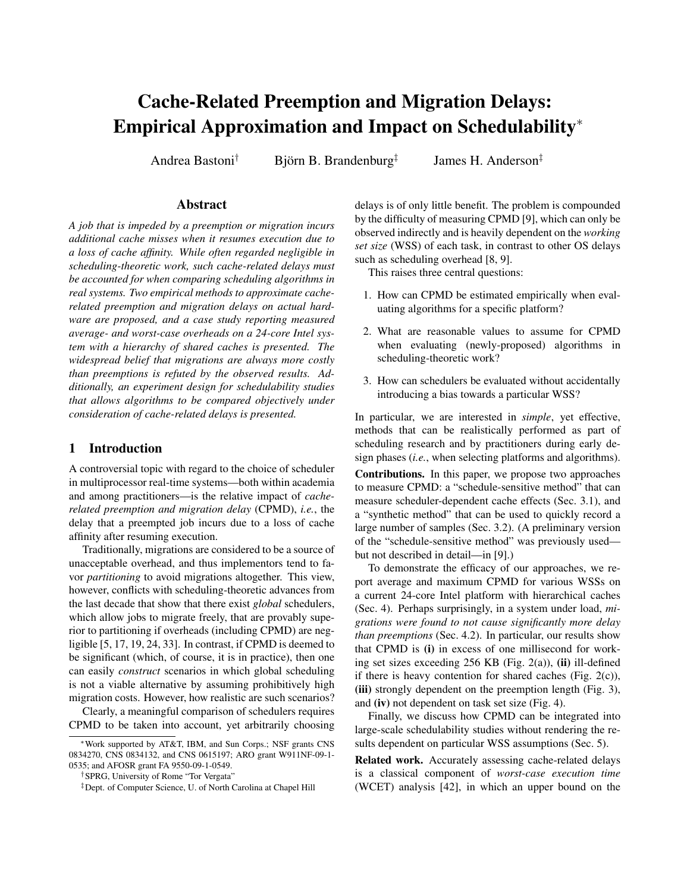# Cache-Related Preemption and Migration Delays: Empirical Approximation and Impact on Schedulability<sup>∗</sup>

Andrea Bastoni<sup>†</sup> Björn B. Brandenburg<sup>‡</sup>

James H. Anderson‡

### Abstract

*A job that is impeded by a preemption or migration incurs additional cache misses when it resumes execution due to a loss of cache affinity. While often regarded negligible in scheduling-theoretic work, such cache-related delays must be accounted for when comparing scheduling algorithms in real systems. Two empirical methods to approximate cacherelated preemption and migration delays on actual hardware are proposed, and a case study reporting measured average- and worst-case overheads on a 24-core Intel system with a hierarchy of shared caches is presented. The widespread belief that migrations are always more costly than preemptions is refuted by the observed results. Additionally, an experiment design for schedulability studies that allows algorithms to be compared objectively under consideration of cache-related delays is presented.*

# 1 Introduction

A controversial topic with regard to the choice of scheduler in multiprocessor real-time systems—both within academia and among practitioners—is the relative impact of *cacherelated preemption and migration delay* (CPMD), *i.e.*, the delay that a preempted job incurs due to a loss of cache affinity after resuming execution.

Traditionally, migrations are considered to be a source of unacceptable overhead, and thus implementors tend to favor *partitioning* to avoid migrations altogether. This view, however, conflicts with scheduling-theoretic advances from the last decade that show that there exist *global* schedulers, which allow jobs to migrate freely, that are provably superior to partitioning if overheads (including CPMD) are negligible [5, 17, 19, 24, 33]. In contrast, if CPMD is deemed to be significant (which, of course, it is in practice), then one can easily *construct* scenarios in which global scheduling is not a viable alternative by assuming prohibitively high migration costs. However, how realistic are such scenarios?

Clearly, a meaningful comparison of schedulers requires CPMD to be taken into account, yet arbitrarily choosing delays is of only little benefit. The problem is compounded by the difficulty of measuring CPMD [9], which can only be observed indirectly and is heavily dependent on the *working set size* (WSS) of each task, in contrast to other OS delays such as scheduling overhead [8, 9].

This raises three central questions:

- 1. How can CPMD be estimated empirically when evaluating algorithms for a specific platform?
- 2. What are reasonable values to assume for CPMD when evaluating (newly-proposed) algorithms in scheduling-theoretic work?
- 3. How can schedulers be evaluated without accidentally introducing a bias towards a particular WSS?

In particular, we are interested in *simple*, yet effective, methods that can be realistically performed as part of scheduling research and by practitioners during early design phases (*i.e.*, when selecting platforms and algorithms).

Contributions. In this paper, we propose two approaches to measure CPMD: a "schedule-sensitive method" that can measure scheduler-dependent cache effects (Sec. 3.1), and a "synthetic method" that can be used to quickly record a large number of samples (Sec. 3.2). (A preliminary version of the "schedule-sensitive method" was previously used but not described in detail—in [9].)

To demonstrate the efficacy of our approaches, we report average and maximum CPMD for various WSSs on a current 24-core Intel platform with hierarchical caches (Sec. 4). Perhaps surprisingly, in a system under load, *migrations were found to not cause significantly more delay than preemptions* (Sec. 4.2). In particular, our results show that CPMD is (i) in excess of one millisecond for working set sizes exceeding  $256$  KB (Fig. 2(a)), (ii) ill-defined if there is heavy contention for shared caches (Fig.  $2(c)$ ), (iii) strongly dependent on the preemption length (Fig. 3), and (iv) not dependent on task set size (Fig. 4).

Finally, we discuss how CPMD can be integrated into large-scale schedulability studies without rendering the results dependent on particular WSS assumptions (Sec. 5).

Related work. Accurately assessing cache-related delays is a classical component of *worst-case execution time* (WCET) analysis [42], in which an upper bound on the

<sup>∗</sup>Work supported by AT&T, IBM, and Sun Corps.; NSF grants CNS 0834270, CNS 0834132, and CNS 0615197; ARO grant W911NF-09-1- 0535; and AFOSR grant FA 9550-09-1-0549.

<sup>†</sup>SPRG, University of Rome "Tor Vergata"

<sup>‡</sup>Dept. of Computer Science, U. of North Carolina at Chapel Hill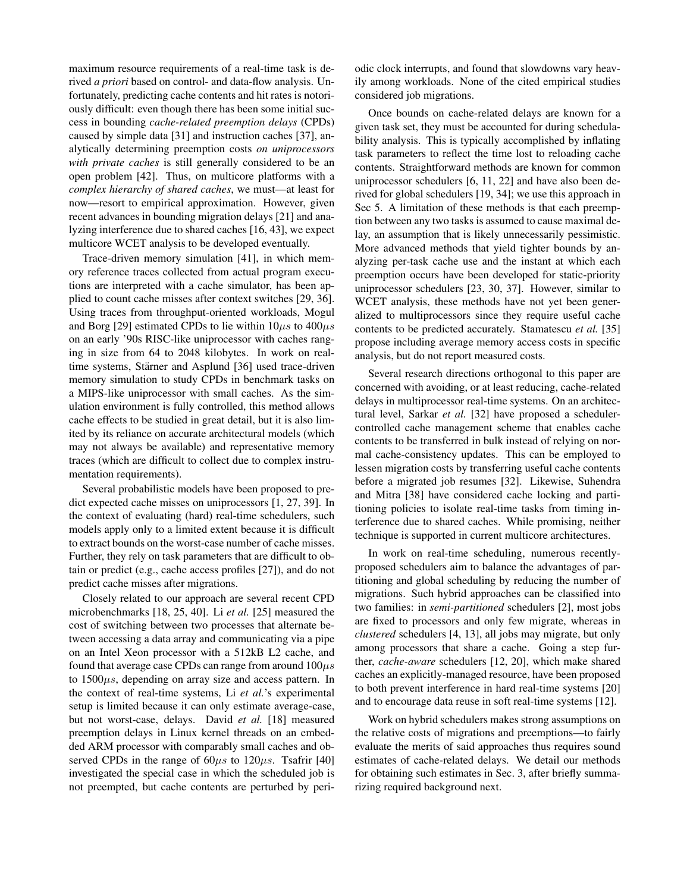maximum resource requirements of a real-time task is derived *a priori* based on control- and data-flow analysis. Unfortunately, predicting cache contents and hit rates is notoriously difficult: even though there has been some initial success in bounding *cache-related preemption delays* (CPDs) caused by simple data [31] and instruction caches [37], analytically determining preemption costs *on uniprocessors with private caches* is still generally considered to be an open problem [42]. Thus, on multicore platforms with a *complex hierarchy of shared caches*, we must—at least for now—resort to empirical approximation. However, given recent advances in bounding migration delays [21] and analyzing interference due to shared caches [16, 43], we expect multicore WCET analysis to be developed eventually.

Trace-driven memory simulation [41], in which memory reference traces collected from actual program executions are interpreted with a cache simulator, has been applied to count cache misses after context switches [29, 36]. Using traces from throughput-oriented workloads, Mogul and Borg [29] estimated CPDs to lie within  $10\mu s$  to  $400\mu s$ on an early '90s RISC-like uniprocessor with caches ranging in size from 64 to 2048 kilobytes. In work on realtime systems, Stärner and Asplund [36] used trace-driven memory simulation to study CPDs in benchmark tasks on a MIPS-like uniprocessor with small caches. As the simulation environment is fully controlled, this method allows cache effects to be studied in great detail, but it is also limited by its reliance on accurate architectural models (which may not always be available) and representative memory traces (which are difficult to collect due to complex instrumentation requirements).

Several probabilistic models have been proposed to predict expected cache misses on uniprocessors [1, 27, 39]. In the context of evaluating (hard) real-time schedulers, such models apply only to a limited extent because it is difficult to extract bounds on the worst-case number of cache misses. Further, they rely on task parameters that are difficult to obtain or predict (e.g., cache access profiles [27]), and do not predict cache misses after migrations.

Closely related to our approach are several recent CPD microbenchmarks [18, 25, 40]. Li *et al.* [25] measured the cost of switching between two processes that alternate between accessing a data array and communicating via a pipe on an Intel Xeon processor with a 512kB L2 cache, and found that average case CPDs can range from around  $100\mu s$ to  $1500\mu s$ , depending on array size and access pattern. In the context of real-time systems, Li *et al.*'s experimental setup is limited because it can only estimate average-case, but not worst-case, delays. David *et al.* [18] measured preemption delays in Linux kernel threads on an embedded ARM processor with comparably small caches and observed CPDs in the range of  $60\mu s$  to  $120\mu s$ . Tsafrir [40] investigated the special case in which the scheduled job is not preempted, but cache contents are perturbed by periodic clock interrupts, and found that slowdowns vary heavily among workloads. None of the cited empirical studies considered job migrations.

Once bounds on cache-related delays are known for a given task set, they must be accounted for during schedulability analysis. This is typically accomplished by inflating task parameters to reflect the time lost to reloading cache contents. Straightforward methods are known for common uniprocessor schedulers [6, 11, 22] and have also been derived for global schedulers [19, 34]; we use this approach in Sec 5. A limitation of these methods is that each preemption between any two tasks is assumed to cause maximal delay, an assumption that is likely unnecessarily pessimistic. More advanced methods that yield tighter bounds by analyzing per-task cache use and the instant at which each preemption occurs have been developed for static-priority uniprocessor schedulers [23, 30, 37]. However, similar to WCET analysis, these methods have not yet been generalized to multiprocessors since they require useful cache contents to be predicted accurately. Stamatescu *et al.* [35] propose including average memory access costs in specific analysis, but do not report measured costs.

Several research directions orthogonal to this paper are concerned with avoiding, or at least reducing, cache-related delays in multiprocessor real-time systems. On an architectural level, Sarkar *et al.* [32] have proposed a schedulercontrolled cache management scheme that enables cache contents to be transferred in bulk instead of relying on normal cache-consistency updates. This can be employed to lessen migration costs by transferring useful cache contents before a migrated job resumes [32]. Likewise, Suhendra and Mitra [38] have considered cache locking and partitioning policies to isolate real-time tasks from timing interference due to shared caches. While promising, neither technique is supported in current multicore architectures.

In work on real-time scheduling, numerous recentlyproposed schedulers aim to balance the advantages of partitioning and global scheduling by reducing the number of migrations. Such hybrid approaches can be classified into two families: in *semi-partitioned* schedulers [2], most jobs are fixed to processors and only few migrate, whereas in *clustered* schedulers [4, 13], all jobs may migrate, but only among processors that share a cache. Going a step further, *cache-aware* schedulers [12, 20], which make shared caches an explicitly-managed resource, have been proposed to both prevent interference in hard real-time systems [20] and to encourage data reuse in soft real-time systems [12].

Work on hybrid schedulers makes strong assumptions on the relative costs of migrations and preemptions—to fairly evaluate the merits of said approaches thus requires sound estimates of cache-related delays. We detail our methods for obtaining such estimates in Sec. 3, after briefly summarizing required background next.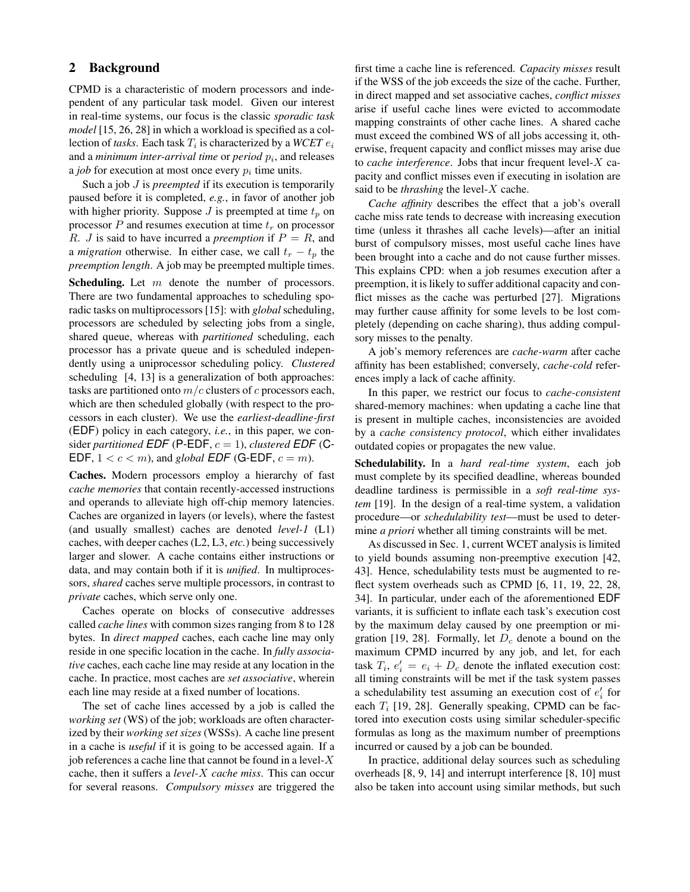# 2 Background

CPMD is a characteristic of modern processors and independent of any particular task model. Given our interest in real-time systems, our focus is the classic *sporadic task model* [15, 26, 28] in which a workload is specified as a collection of *tasks*. Each task  $T_i$  is characterized by a WCET  $e_i$ and a *minimum inter-arrival time* or  $period\ p_i$ , and releases a *job* for execution at most once every  $p_i$  time units.

Such a job J is *preempted* if its execution is temporarily paused before it is completed, *e.g.*, in favor of another job with higher priority. Suppose  $J$  is preempted at time  $t_p$  on processor  $P$  and resumes execution at time  $t_r$  on processor R. *J* is said to have incurred a *preemption* if  $P = R$ , and a *migration* otherwise. In either case, we call  $t_r - t_p$  the *preemption length*. A job may be preempted multiple times.

**Scheduling.** Let  $m$  denote the number of processors. There are two fundamental approaches to scheduling sporadic tasks on multiprocessors [15]: with *global* scheduling, processors are scheduled by selecting jobs from a single, shared queue, whereas with *partitioned* scheduling, each processor has a private queue and is scheduled independently using a uniprocessor scheduling policy. *Clustered* scheduling [4, 13] is a generalization of both approaches: tasks are partitioned onto  $m/c$  clusters of c processors each, which are then scheduled globally (with respect to the processors in each cluster). We use the *earliest-deadline-first* (EDF) policy in each category, *i.e.*, in this paper, we consider *partitioned*  $EDF$  (P-EDF,  $c = 1$ ), *clustered*  $EDF$  (C-EDF,  $1 < c < m$ ), and *global* EDF (G-EDF,  $c = m$ ).

Caches. Modern processors employ a hierarchy of fast *cache memories* that contain recently-accessed instructions and operands to alleviate high off-chip memory latencies. Caches are organized in layers (or levels), where the fastest (and usually smallest) caches are denoted *level-1* (L1) caches, with deeper caches (L2, L3, *etc.*) being successively larger and slower. A cache contains either instructions or data, and may contain both if it is *unified*. In multiprocessors, *shared* caches serve multiple processors, in contrast to *private* caches, which serve only one.

Caches operate on blocks of consecutive addresses called *cache lines* with common sizes ranging from 8 to 128 bytes. In *direct mapped* caches, each cache line may only reside in one specific location in the cache. In *fully associative* caches, each cache line may reside at any location in the cache. In practice, most caches are *set associative*, wherein each line may reside at a fixed number of locations.

The set of cache lines accessed by a job is called the *working set* (WS) of the job; workloads are often characterized by their *working set sizes* (WSSs). A cache line present in a cache is *useful* if it is going to be accessed again. If a job references a cache line that cannot be found in a level- $X$ cache, then it suffers a *level-*X *cache miss*. This can occur for several reasons. *Compulsory misses* are triggered the first time a cache line is referenced. *Capacity misses* result if the WSS of the job exceeds the size of the cache. Further, in direct mapped and set associative caches, *conflict misses* arise if useful cache lines were evicted to accommodate mapping constraints of other cache lines. A shared cache must exceed the combined WS of all jobs accessing it, otherwise, frequent capacity and conflict misses may arise due to *cache interference*. Jobs that incur frequent level-X capacity and conflict misses even if executing in isolation are said to be *thrashing* the level-X cache.

*Cache affinity* describes the effect that a job's overall cache miss rate tends to decrease with increasing execution time (unless it thrashes all cache levels)—after an initial burst of compulsory misses, most useful cache lines have been brought into a cache and do not cause further misses. This explains CPD: when a job resumes execution after a preemption, it is likely to suffer additional capacity and conflict misses as the cache was perturbed [27]. Migrations may further cause affinity for some levels to be lost completely (depending on cache sharing), thus adding compulsory misses to the penalty.

A job's memory references are *cache-warm* after cache affinity has been established; conversely, *cache-cold* references imply a lack of cache affinity.

In this paper, we restrict our focus to *cache-consistent* shared-memory machines: when updating a cache line that is present in multiple caches, inconsistencies are avoided by a *cache consistency protocol*, which either invalidates outdated copies or propagates the new value.

Schedulability. In a *hard real-time system*, each job must complete by its specified deadline, whereas bounded deadline tardiness is permissible in a *soft real-time system* [19]. In the design of a real-time system, a validation procedure—or *schedulability test*—must be used to determine *a priori* whether all timing constraints will be met.

As discussed in Sec. 1, current WCET analysis is limited to yield bounds assuming non-preemptive execution [42, 43]. Hence, schedulability tests must be augmented to reflect system overheads such as CPMD [6, 11, 19, 22, 28, 34]. In particular, under each of the aforementioned EDF variants, it is sufficient to inflate each task's execution cost by the maximum delay caused by one preemption or migration [19, 28]. Formally, let  $D_c$  denote a bound on the maximum CPMD incurred by any job, and let, for each task  $T_i$ ,  $e'_i = e_i + D_c$  denote the inflated execution cost: all timing constraints will be met if the task system passes a schedulability test assuming an execution cost of  $e_i$  for each  $T_i$  [19, 28]. Generally speaking, CPMD can be factored into execution costs using similar scheduler-specific formulas as long as the maximum number of preemptions incurred or caused by a job can be bounded.

In practice, additional delay sources such as scheduling overheads [8, 9, 14] and interrupt interference [8, 10] must also be taken into account using similar methods, but such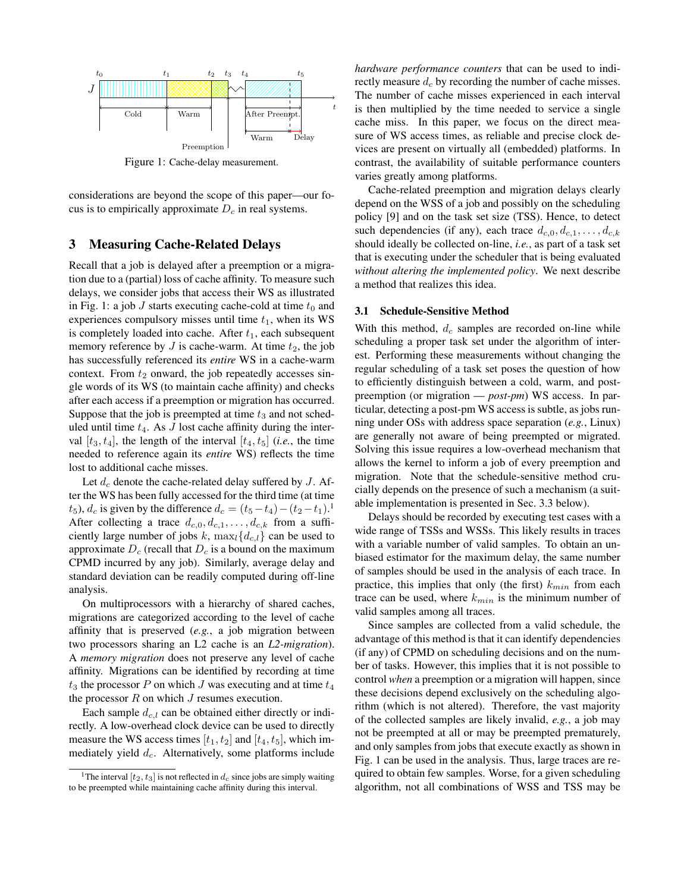

Figure 1: Cache-delay measurement.

considerations are beyond the scope of this paper—our focus is to empirically approximate  $D_c$  in real systems.

# 3 Measuring Cache-Related Delays

Recall that a job is delayed after a preemption or a migration due to a (partial) loss of cache affinity. To measure such delays, we consider jobs that access their WS as illustrated in Fig. 1: a job J starts executing cache-cold at time  $t_0$  and experiences compulsory misses until time  $t_1$ , when its WS is completely loaded into cache. After  $t_1$ , each subsequent memory reference by  $J$  is cache-warm. At time  $t_2$ , the job has successfully referenced its *entire* WS in a cache-warm context. From  $t_2$  onward, the job repeatedly accesses single words of its WS (to maintain cache affinity) and checks after each access if a preemption or migration has occurred. Suppose that the job is preempted at time  $t_3$  and not scheduled until time  $t_4$ . As  $J$  lost cache affinity during the interval  $[t_3, t_4]$ , the length of the interval  $[t_4, t_5]$  (*i.e.*, the time needed to reference again its *entire* WS) reflects the time lost to additional cache misses.

Let  $d_c$  denote the cache-related delay suffered by J. After the WS has been fully accessed for the third time (at time  $t_5$ ),  $d_c$  is given by the difference  $d_c = (t_5 - t_4) - (t_2 - t_1)$ .<sup>1</sup> After collecting a trace  $d_{c,0}, d_{c,1}, \ldots, d_{c,k}$  from a sufficiently large number of jobs k,  $\max_l \{d_{c,l}\}$  can be used to approximate  $D_c$  (recall that  $D_c$  is a bound on the maximum CPMD incurred by any job). Similarly, average delay and standard deviation can be readily computed during off-line analysis.

1 affinity that is preserved (*e.g.*, a job migration between On multiprocessors with a hierarchy of shared caches, migrations are categorized according to the level of cache two processors sharing an L2 cache is an *L2-migration*). A *memory migration* does not preserve any level of cache affinity. Migrations can be identified by recording at time  $t_3$  the processor P on which J was executing and at time  $t_4$ the processor  $R$  on which  $J$  resumes execution.

Each sample  $d_{c,l}$  can be obtained either directly or indirectly. A low-overhead clock device can be used to directly measure the WS access times  $[t_1, t_2]$  and  $[t_4, t_5]$ , which immediately yield  $d_c$ . Alternatively, some platforms include *hardware performance counters* that can be used to indirectly measure  $d_c$  by recording the number of cache misses. The number of cache misses experienced in each interval is then multiplied by the time needed to service a single cache miss. In this paper, we focus on the direct measure of WS access times, as reliable and precise clock devices are present on virtually all (embedded) platforms. In contrast, the availability of suitable performance counters varies greatly among platforms.

Cache-related preemption and migration delays clearly depend on the WSS of a job and possibly on the scheduling policy [9] and on the task set size (TSS). Hence, to detect such dependencies (if any), each trace  $d_{c,0}, d_{c,1}, \ldots, d_{c,k}$ should ideally be collected on-line, *i.e.*, as part of a task set that is executing under the scheduler that is being evaluated *without altering the implemented policy*. We next describe a method that realizes this idea.

#### 3.1 Schedule-Sensitive Method

With this method,  $d_c$  samples are recorded on-line while scheduling a proper task set under the algorithm of interest. Performing these measurements without changing the regular scheduling of a task set poses the question of how to efficiently distinguish between a cold, warm, and postpreemption (or migration — *post-pm*) WS access. In particular, detecting a post-pm WS access is subtle, as jobs running under OSs with address space separation (*e.g.*, Linux) are generally not aware of being preempted or migrated. Solving this issue requires a low-overhead mechanism that allows the kernel to inform a job of every preemption and migration. Note that the schedule-sensitive method crucially depends on the presence of such a mechanism (a suitable implementation is presented in Sec. 3.3 below).

Delays should be recorded by executing test cases with a wide range of TSSs and WSSs. This likely results in traces with a variable number of valid samples. To obtain an unbiased estimator for the maximum delay, the same number of samples should be used in the analysis of each trace. In practice, this implies that only (the first)  $k_{min}$  from each trace can be used, where  $k_{min}$  is the minimum number of valid samples among all traces.

Since samples are collected from a valid schedule, the advantage of this method is that it can identify dependencies (if any) of CPMD on scheduling decisions and on the number of tasks. However, this implies that it is not possible to control *when* a preemption or a migration will happen, since these decisions depend exclusively on the scheduling algorithm (which is not altered). Therefore, the vast majority of the collected samples are likely invalid, *e.g.*, a job may not be preempted at all or may be preempted prematurely, and only samples from jobs that execute exactly as shown in Fig. 1 can be used in the analysis. Thus, large traces are required to obtain few samples. Worse, for a given scheduling algorithm, not all combinations of WSS and TSS may be

<sup>&</sup>lt;sup>1</sup>The interval  $[t_2, t_3]$  is not reflected in  $d_c$  since jobs are simply waiting to be preempted while maintaining cache affinity during this interval.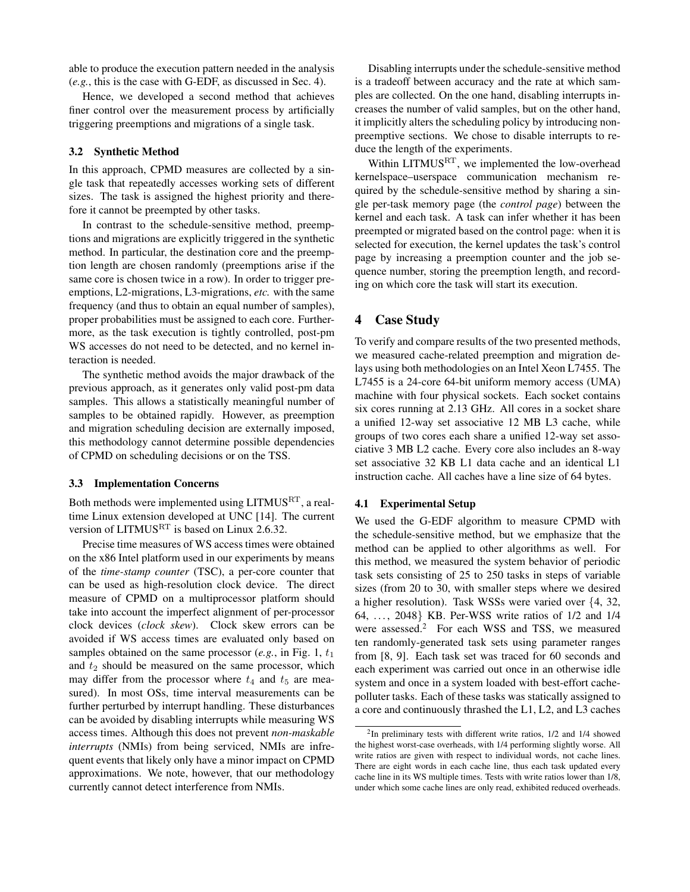able to produce the execution pattern needed in the analysis (*e.g.*, this is the case with G-EDF, as discussed in Sec. 4).

Hence, we developed a second method that achieves finer control over the measurement process by artificially triggering preemptions and migrations of a single task.

#### 3.2 Synthetic Method

In this approach, CPMD measures are collected by a single task that repeatedly accesses working sets of different sizes. The task is assigned the highest priority and therefore it cannot be preempted by other tasks.

In contrast to the schedule-sensitive method, preemptions and migrations are explicitly triggered in the synthetic method. In particular, the destination core and the preemption length are chosen randomly (preemptions arise if the same core is chosen twice in a row). In order to trigger preemptions, L2-migrations, L3-migrations, *etc.* with the same frequency (and thus to obtain an equal number of samples), proper probabilities must be assigned to each core. Furthermore, as the task execution is tightly controlled, post-pm WS accesses do not need to be detected, and no kernel interaction is needed.

The synthetic method avoids the major drawback of the previous approach, as it generates only valid post-pm data samples. This allows a statistically meaningful number of samples to be obtained rapidly. However, as preemption and migration scheduling decision are externally imposed, this methodology cannot determine possible dependencies of CPMD on scheduling decisions or on the TSS.

#### 3.3 Implementation Concerns

Both methods were implemented using LITMUSRT, a realtime Linux extension developed at UNC [14]. The current version of LITMUS<sup>RT</sup> is based on Linux 2.6.32.

Precise time measures of WS access times were obtained on the x86 Intel platform used in our experiments by means of the *time-stamp counter* (TSC), a per-core counter that can be used as high-resolution clock device. The direct measure of CPMD on a multiprocessor platform should take into account the imperfect alignment of per-processor clock devices (*clock skew*). Clock skew errors can be avoided if WS access times are evaluated only based on samples obtained on the same processor  $(e.g., in Fig. 1, t<sub>1</sub>)$ and  $t_2$  should be measured on the same processor, which may differ from the processor where  $t_4$  and  $t_5$  are measured). In most OSs, time interval measurements can be further perturbed by interrupt handling. These disturbances can be avoided by disabling interrupts while measuring WS access times. Although this does not prevent *non-maskable interrupts* (NMIs) from being serviced, NMIs are infrequent events that likely only have a minor impact on CPMD approximations. We note, however, that our methodology currently cannot detect interference from NMIs.

Disabling interrupts under the schedule-sensitive method is a tradeoff between accuracy and the rate at which samples are collected. On the one hand, disabling interrupts increases the number of valid samples, but on the other hand, it implicitly alters the scheduling policy by introducing nonpreemptive sections. We chose to disable interrupts to reduce the length of the experiments.

Within LITMUS<sup>RT</sup>, we implemented the low-overhead kernelspace–userspace communication mechanism required by the schedule-sensitive method by sharing a single per-task memory page (the *control page*) between the kernel and each task. A task can infer whether it has been preempted or migrated based on the control page: when it is selected for execution, the kernel updates the task's control page by increasing a preemption counter and the job sequence number, storing the preemption length, and recording on which core the task will start its execution.

# 4 Case Study

To verify and compare results of the two presented methods, we measured cache-related preemption and migration delays using both methodologies on an Intel Xeon L7455. The L7455 is a 24-core 64-bit uniform memory access (UMA) machine with four physical sockets. Each socket contains six cores running at 2.13 GHz. All cores in a socket share a unified 12-way set associative 12 MB L3 cache, while groups of two cores each share a unified 12-way set associative 3 MB L2 cache. Every core also includes an 8-way set associative 32 KB L1 data cache and an identical L1 instruction cache. All caches have a line size of 64 bytes.

#### 4.1 Experimental Setup

We used the G-EDF algorithm to measure CPMD with the schedule-sensitive method, but we emphasize that the method can be applied to other algorithms as well. For this method, we measured the system behavior of periodic task sets consisting of 25 to 250 tasks in steps of variable sizes (from 20 to 30, with smaller steps where we desired a higher resolution). Task WSSs were varied over {4, 32, 64, . . . , 2048} KB. Per-WSS write ratios of 1/2 and 1/4 were assessed.<sup>2</sup> For each WSS and TSS, we measured ten randomly-generated task sets using parameter ranges from [8, 9]. Each task set was traced for 60 seconds and each experiment was carried out once in an otherwise idle system and once in a system loaded with best-effort cachepolluter tasks. Each of these tasks was statically assigned to a core and continuously thrashed the L1, L2, and L3 caches

 $2$ In preliminary tests with different write ratios,  $1/2$  and  $1/4$  showed the highest worst-case overheads, with 1/4 performing slightly worse. All write ratios are given with respect to individual words, not cache lines. There are eight words in each cache line, thus each task updated every cache line in its WS multiple times. Tests with write ratios lower than 1/8, under which some cache lines are only read, exhibited reduced overheads.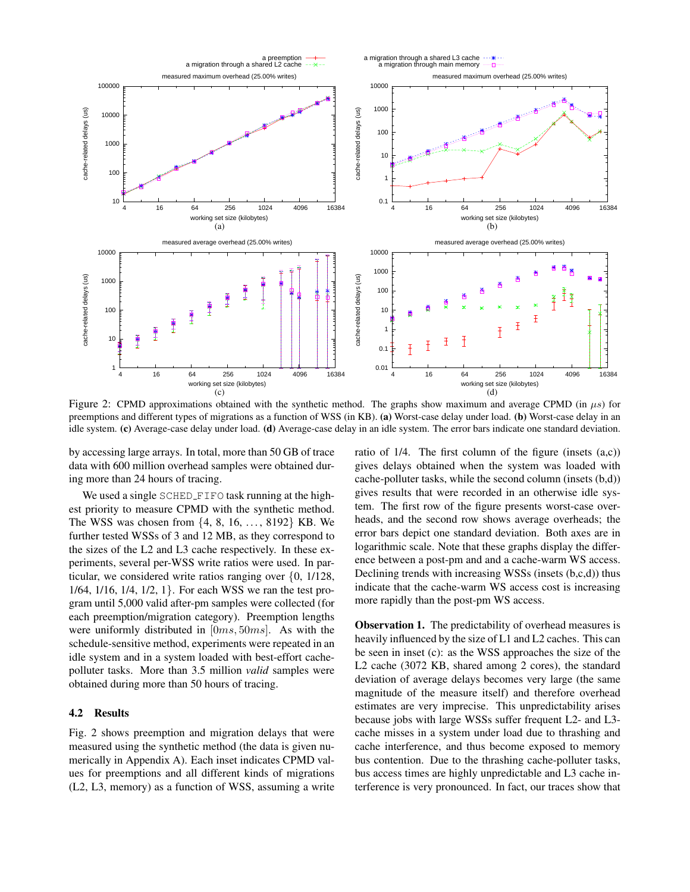

Figure 2: CPMD approximations obtained with the synthetic method. The graphs show maximum and average CPMD (in  $\mu s$ ) for preemptions and different types of migrations as a function of WSS (in KB). (a) Worst-case delay under load. (b) Worst-case delay in an idle system. (c) Average-case delay under load. (d) Average-case delay in an idle system. The error bars indicate one standard deviation.

by accessing large arrays. In total, more than 50 GB of trace data with 600 million overhead samples were obtained during more than 24 hours of tracing.

We used a single SCHED FIFO task running at the highest priority to measure CPMD with the synthetic method. The WSS was chosen from  $\{4, 8, 16, \ldots, 8192\}$  KB. We further tested WSSs of 3 and 12 MB, as they correspond to the sizes of the L2 and L3 cache respectively. In these experiments, several per-WSS write ratios were used. In particular, we considered write ratios ranging over {0, 1/128, 1/64, 1/16, 1/4, 1/2, 1}. For each WSS we ran the test program until 5,000 valid after-pm samples were collected (for each preemption/migration category). Preemption lengths were uniformly distributed in [0ms, 50ms]. As with the schedule-sensitive method, experiments were repeated in an idle system and in a system loaded with best-effort cachepolluter tasks. More than 3.5 million *valid* samples were obtained during more than 50 hours of tracing.

#### 4.2 Results

Fig. 2 shows preemption and migration delays that were measured using the synthetic method (the data is given numerically in Appendix A). Each inset indicates CPMD values for preemptions and all different kinds of migrations (L2, L3, memory) as a function of WSS, assuming a write ratio of 1/4. The first column of the figure (insets (a,c)) gives delays obtained when the system was loaded with cache-polluter tasks, while the second column (insets (b,d)) gives results that were recorded in an otherwise idle system. The first row of the figure presents worst-case overheads, and the second row shows average overheads; the error bars depict one standard deviation. Both axes are in logarithmic scale. Note that these graphs display the difference between a post-pm and and a cache-warm WS access. Declining trends with increasing WSSs (insets (b,c,d)) thus indicate that the cache-warm WS access cost is increasing more rapidly than the post-pm WS access.

Observation 1. The predictability of overhead measures is heavily influenced by the size of L1 and L2 caches. This can be seen in inset (c): as the WSS approaches the size of the L2 cache (3072 KB, shared among 2 cores), the standard deviation of average delays becomes very large (the same magnitude of the measure itself) and therefore overhead estimates are very imprecise. This unpredictability arises because jobs with large WSSs suffer frequent L2- and L3 cache misses in a system under load due to thrashing and cache interference, and thus become exposed to memory bus contention. Due to the thrashing cache-polluter tasks, bus access times are highly unpredictable and L3 cache interference is very pronounced. In fact, our traces show that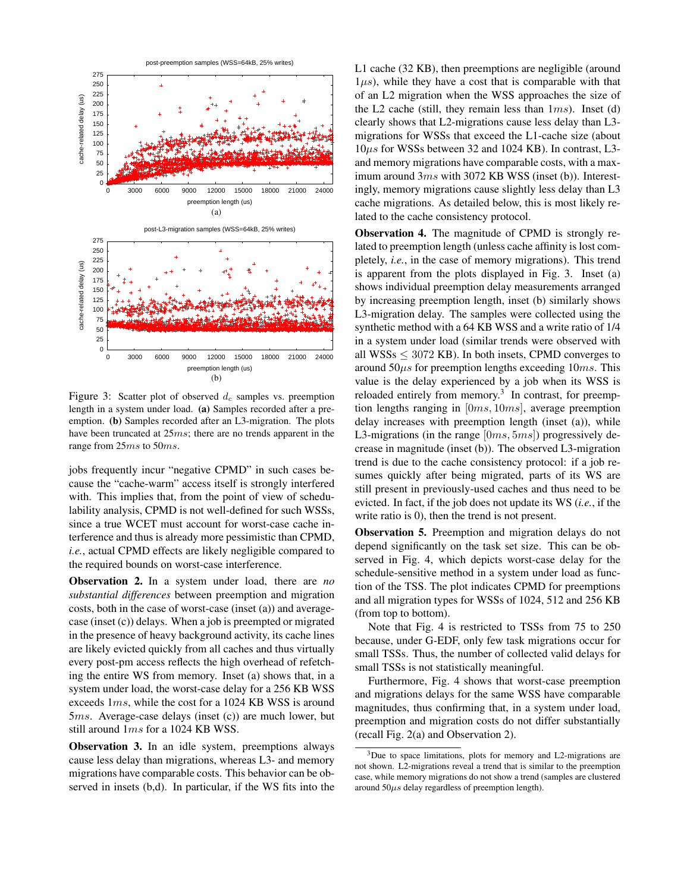

Figure 3: Scatter plot of observed  $d_c$  samples vs. preemption length in a system under load. (a) Samples recorded after a preemption. (b) Samples recorded after an L3-migration. The plots have been truncated at 25ms; there are no trends apparent in the range from 25ms to 50ms.

jobs frequently incur "negative CPMD" in such cases because the "cache-warm" access itself is strongly interfered with. This implies that, from the point of view of schedulability analysis, CPMD is not well-defined for such WSSs, since a true WCET must account for worst-case cache interference and thus is already more pessimistic than CPMD, *i.e.*, actual CPMD effects are likely negligible compared to the required bounds on worst-case interference.

Observation 2. In a system under load, there are *no substantial differences* between preemption and migration costs, both in the case of worst-case (inset (a)) and averagecase (inset (c)) delays. When a job is preempted or migrated in the presence of heavy background activity, its cache lines are likely evicted quickly from all caches and thus virtually every post-pm access reflects the high overhead of refetching the entire WS from memory. Inset (a) shows that, in a system under load, the worst-case delay for a 256 KB WSS exceeds 1ms, while the cost for a 1024 KB WSS is around 5ms. Average-case delays (inset (c)) are much lower, but still around 1ms for a 1024 KB WSS.

Observation 3. In an idle system, preemptions always cause less delay than migrations, whereas L3- and memory migrations have comparable costs. This behavior can be observed in insets (b,d). In particular, if the WS fits into the L1 cache (32 KB), then preemptions are negligible (around  $1\mu s$ ), while they have a cost that is comparable with that of an L2 migration when the WSS approaches the size of the L2 cache (still, they remain less than  $1ms$ ). Inset (d) clearly shows that L2-migrations cause less delay than L3 migrations for WSSs that exceed the L1-cache size (about 10µs for WSSs between 32 and 1024 KB). In contrast, L3 and memory migrations have comparable costs, with a maximum around 3ms with 3072 KB WSS (inset (b)). Interestingly, memory migrations cause slightly less delay than L3 cache migrations. As detailed below, this is most likely related to the cache consistency protocol.

Observation 4. The magnitude of CPMD is strongly related to preemption length (unless cache affinity is lost completely, *i.e.*, in the case of memory migrations). This trend is apparent from the plots displayed in Fig. 3. Inset (a) shows individual preemption delay measurements arranged by increasing preemption length, inset (b) similarly shows L3-migration delay. The samples were collected using the synthetic method with a 64 KB WSS and a write ratio of 1/4 in a system under load (similar trends were observed with all WSSs  $\leq$  3072 KB). In both insets, CPMD converges to around  $50\mu s$  for preemption lengths exceeding  $10ms$ . This value is the delay experienced by a job when its WSS is reloaded entirely from memory.<sup>3</sup> In contrast, for preemption lengths ranging in [0ms, 10ms], average preemption delay increases with preemption length (inset (a)), while L3-migrations (in the range  $[0ms, 5ms]$ ) progressively decrease in magnitude (inset (b)). The observed L3-migration trend is due to the cache consistency protocol: if a job resumes quickly after being migrated, parts of its WS are still present in previously-used caches and thus need to be evicted. In fact, if the job does not update its WS (*i.e.*, if the write ratio is 0), then the trend is not present.

Observation 5. Preemption and migration delays do not depend significantly on the task set size. This can be observed in Fig. 4, which depicts worst-case delay for the schedule-sensitive method in a system under load as function of the TSS. The plot indicates CPMD for preemptions and all migration types for WSSs of 1024, 512 and 256 KB (from top to bottom).

Note that Fig. 4 is restricted to TSSs from 75 to 250 because, under G-EDF, only few task migrations occur for small TSSs. Thus, the number of collected valid delays for small TSSs is not statistically meaningful.

Furthermore, Fig. 4 shows that worst-case preemption and migrations delays for the same WSS have comparable magnitudes, thus confirming that, in a system under load, preemption and migration costs do not differ substantially (recall Fig. 2(a) and Observation 2).

 $3$ Due to space limitations, plots for memory and L2-migrations are not shown. L2-migrations reveal a trend that is similar to the preemption case, while memory migrations do not show a trend (samples are clustered around  $50\mu s$  delay regardless of preemption length).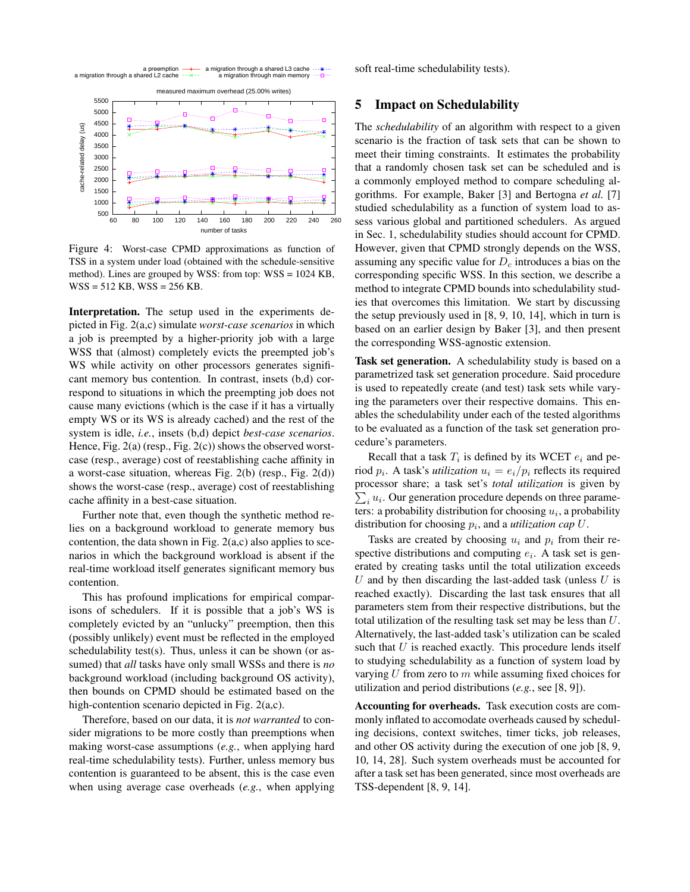

Figure 4: Worst-case CPMD approximations as function of TSS in a system under load (obtained with the schedule-sensitive method). Lines are grouped by WSS: from top: WSS = 1024 KB, WSS = 512 KB, WSS = 256 KB.

Interpretation. The setup used in the experiments depicted in Fig. 2(a,c) simulate *worst-case scenarios* in which a job is preempted by a higher-priority job with a large WSS that (almost) completely evicts the preempted job's WS while activity on other processors generates significant memory bus contention. In contrast, insets (b,d) correspond to situations in which the preempting job does not cause many evictions (which is the case if it has a virtually empty WS or its WS is already cached) and the rest of the system is idle, *i.e.*, insets (b,d) depict *best-case scenarios*. Hence, Fig. 2(a) (resp., Fig. 2(c)) shows the observed worstcase (resp., average) cost of reestablishing cache affinity in a worst-case situation, whereas Fig. 2(b) (resp., Fig. 2(d)) shows the worst-case (resp., average) cost of reestablishing cache affinity in a best-case situation.

Further note that, even though the synthetic method relies on a background workload to generate memory bus contention, the data shown in Fig.  $2(a,c)$  also applies to scenarios in which the background workload is absent if the real-time workload itself generates significant memory bus contention.

This has profound implications for empirical comparisons of schedulers. If it is possible that a job's WS is completely evicted by an "unlucky" preemption, then this (possibly unlikely) event must be reflected in the employed schedulability test(s). Thus, unless it can be shown (or assumed) that *all* tasks have only small WSSs and there is *no* background workload (including background OS activity), then bounds on CPMD should be estimated based on the high-contention scenario depicted in Fig. 2(a,c).

Therefore, based on our data, it is *not warranted* to consider migrations to be more costly than preemptions when making worst-case assumptions (*e.g.*, when applying hard real-time schedulability tests). Further, unless memory bus contention is guaranteed to be absent, this is the case even when using average case overheads (*e.g.*, when applying soft real-time schedulability tests).

# 5 Impact on Schedulability

The *schedulability* of an algorithm with respect to a given scenario is the fraction of task sets that can be shown to meet their timing constraints. It estimates the probability that a randomly chosen task set can be scheduled and is a commonly employed method to compare scheduling algorithms. For example, Baker [3] and Bertogna *et al.* [7] studied schedulability as a function of system load to assess various global and partitioned schedulers. As argued in Sec. 1, schedulability studies should account for CPMD. However, given that CPMD strongly depends on the WSS, assuming any specific value for  $D<sub>c</sub>$  introduces a bias on the corresponding specific WSS. In this section, we describe a method to integrate CPMD bounds into schedulability studies that overcomes this limitation. We start by discussing the setup previously used in [8, 9, 10, 14], which in turn is based on an earlier design by Baker [3], and then present the corresponding WSS-agnostic extension.

Task set generation. A schedulability study is based on a parametrized task set generation procedure. Said procedure is used to repeatedly create (and test) task sets while varying the parameters over their respective domains. This enables the schedulability under each of the tested algorithms to be evaluated as a function of the task set generation procedure's parameters.

Recall that a task  $T_i$  is defined by its WCET  $e_i$  and period  $p_i$ . A task's *utilization*  $u_i = e_i/p_i$  reflects its required processor share; a task set's *total utilization* is given by  $\sum_i u_i$ . Our generation procedure depends on three parameters: a probability distribution for choosing  $u_i$ , a probability distribution for choosing  $p_i$ , and a *utilization cap*  $U$ .

Tasks are created by choosing  $u_i$  and  $p_i$  from their respective distributions and computing  $e_i$ . A task set is generated by creating tasks until the total utilization exceeds U and by then discarding the last-added task (unless  $U$  is reached exactly). Discarding the last task ensures that all parameters stem from their respective distributions, but the total utilization of the resulting task set may be less than U. Alternatively, the last-added task's utilization can be scaled such that  $U$  is reached exactly. This procedure lends itself to studying schedulability as a function of system load by varying  $U$  from zero to  $m$  while assuming fixed choices for utilization and period distributions (*e.g.*, see [8, 9]).

Accounting for overheads. Task execution costs are commonly inflated to accomodate overheads caused by scheduling decisions, context switches, timer ticks, job releases, and other OS activity during the execution of one job [8, 9, 10, 14, 28]. Such system overheads must be accounted for after a task set has been generated, since most overheads are TSS-dependent [8, 9, 14].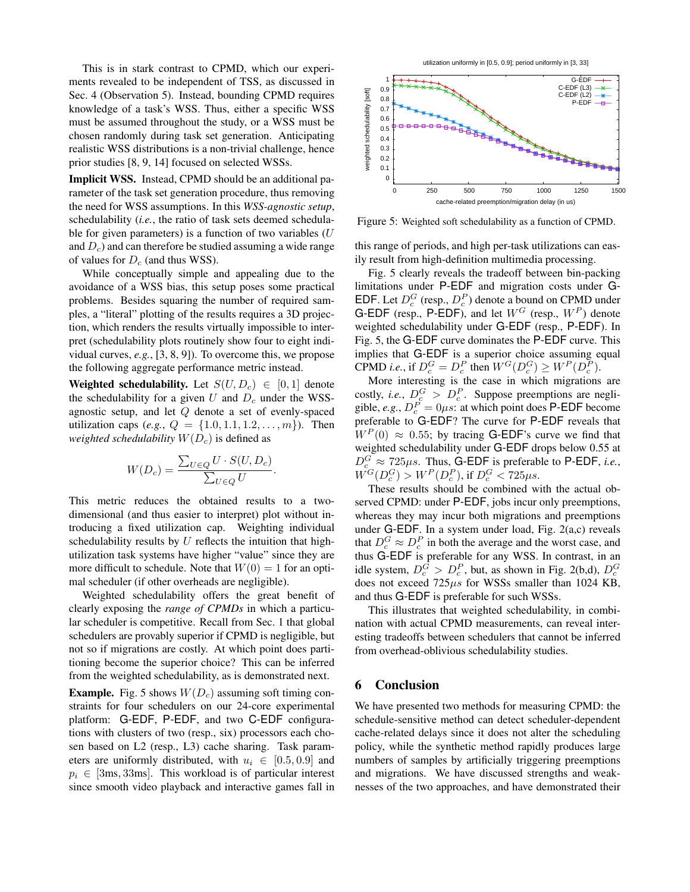This is in stark contrast to CPMD, which our experiments revealed to be independent of TSS, as discussed in Sec. 4 (Observation 5). Instead, bounding CPMD requires knowledge of a task's WSS. Thus, either a specific WSS must be assumed throughout the study, or a WSS must be chosen randomly during task set generation. Anticipating realistic WSS distributions is a non-trivial challenge, hence prior studies [8, 9, 14] focused on selected WSSs.

Implicit WSS. Instead, CPMD should be an additional parameter of the task set generation procedure, thus removing the need for WSS assumptions. In this *WSS-agnostic setup*, schedulability (*i.e.*, the ratio of task sets deemed schedulable for given parameters) is a function of two variables  $(U)$ and  $D<sub>c</sub>$ ) and can therefore be studied assuming a wide range of values for  $D_c$  (and thus WSS).

While conceptually simple and appealing due to the avoidance of a WSS bias, this setup poses some practical problems. Besides squaring the number of required samples, a "literal" plotting of the results requires a 3D projection, which renders the results virtually impossible to interpret (schedulability plots routinely show four to eight individual curves, *e.g.*, [3, 8, 9]). To overcome this, we propose the following aggregate performance metric instead.

Weighted schedulability. Let  $S(U, D_c) \in [0, 1]$  denote the schedulability for a given U and  $D_c$  under the WSSagnostic setup, and let Q denote a set of evenly-spaced utilization caps (*e.g.*,  $Q = \{1.0, 1.1, 1.2, \ldots, m\}$ ). Then *weighted schedulability*  $W(D<sub>c</sub>)$  is defined as

$$
W(D_c) = \frac{\sum_{U \in Q} U \cdot S(U, D_c)}{\sum_{U \in Q} U}.
$$

This metric reduces the obtained results to a twodimensional (and thus easier to interpret) plot without introducing a fixed utilization cap. Weighting individual schedulability results by  $U$  reflects the intuition that highutilization task systems have higher "value" since they are more difficult to schedule. Note that  $W(0) = 1$  for an optimal scheduler (if other overheads are negligible).

Weighted schedulability offers the great benefit of clearly exposing the *range of CPMDs* in which a particular scheduler is competitive. Recall from Sec. 1 that global schedulers are provably superior if CPMD is negligible, but not so if migrations are costly. At which point does partitioning become the superior choice? This can be inferred from the weighted schedulability, as is demonstrated next.

**Example.** Fig. 5 shows  $W(D<sub>c</sub>)$  assuming soft timing constraints for four schedulers on our 24-core experimental platform: G-EDF, P-EDF, and two C-EDF configurations with clusters of two (resp., six) processors each chosen based on L2 (resp., L3) cache sharing. Task parameters are uniformly distributed, with  $u_i \in [0.5, 0.9]$  and  $p_i \in [3ms, 33ms]$ . This workload is of particular interest since smooth video playback and interactive games fall in

utilization uniformly in [0.5, 0.9]; period uniformly in [3, 33]



Figure 5: Weighted soft schedulability as a function of CPMD.

this range of periods, and high per-task utilizations can easily result from high-definition multimedia processing.

Fig. 5 clearly reveals the tradeoff between bin-packing limitations under P-EDF and migration costs under G-EDF. Let  $D_c^G$  (resp.,  $D_c^P$ ) denote a bound on CPMD under G-EDF (resp., P-EDF), and let  $W^G$  (resp.,  $W^P$ ) denote weighted schedulability under G-EDF (resp., P-EDF). In Fig. 5, the G-EDF curve dominates the P-EDF curve. This implies that G-EDF is a superior choice assuming equal CPMD *i.e.*, if  $D_c^G = D_c^P$  then  $W^G(D_c^G) \geq W^P(D_c^P)$ .

More interesting is the case in which migrations are costly, *i.e.*,  $D_c^G > D_c^P$ . Suppose preemptions are negligible, *e.g.*,  $D_c^P = 0\mu s$ : at which point does **P-EDF** become preferable to G-EDF? The curve for P-EDF reveals that  $W^P(0) \approx 0.55$ ; by tracing G-EDF's curve we find that weighted schedulability under G-EDF drops below 0.55 at  $D_c^G \approx 725 \mu s$ . Thus, G-EDF is preferable to P-EDF, *i.e.*,  $W^G(D_c^G) > W^P(D_c^P)$ , if  $D_c^G < 725 \mu s$ .

These results should be combined with the actual observed CPMD: under P-EDF, jobs incur only preemptions, whereas they may incur both migrations and preemptions under G-EDF. In a system under load, Fig. 2(a,c) reveals that  $D_c^G \approx D_c^P$  in both the average and the worst case, and thus G-EDF is preferable for any WSS. In contrast, in an idle system,  $D_c^G > D_c^P$ , but, as shown in Fig. 2(b,d),  $D_c^G$ does not exceed  $725\mu s$  for WSSs smaller than 1024 KB, and thus G-EDF is preferable for such WSSs.

This illustrates that weighted schedulability, in combination with actual CPMD measurements, can reveal interesting tradeoffs between schedulers that cannot be inferred from overhead-oblivious schedulability studies.

## 6 Conclusion

We have presented two methods for measuring CPMD: the schedule-sensitive method can detect scheduler-dependent cache-related delays since it does not alter the scheduling policy, while the synthetic method rapidly produces large numbers of samples by artificially triggering preemptions and migrations. We have discussed strengths and weaknesses of the two approaches, and have demonstrated their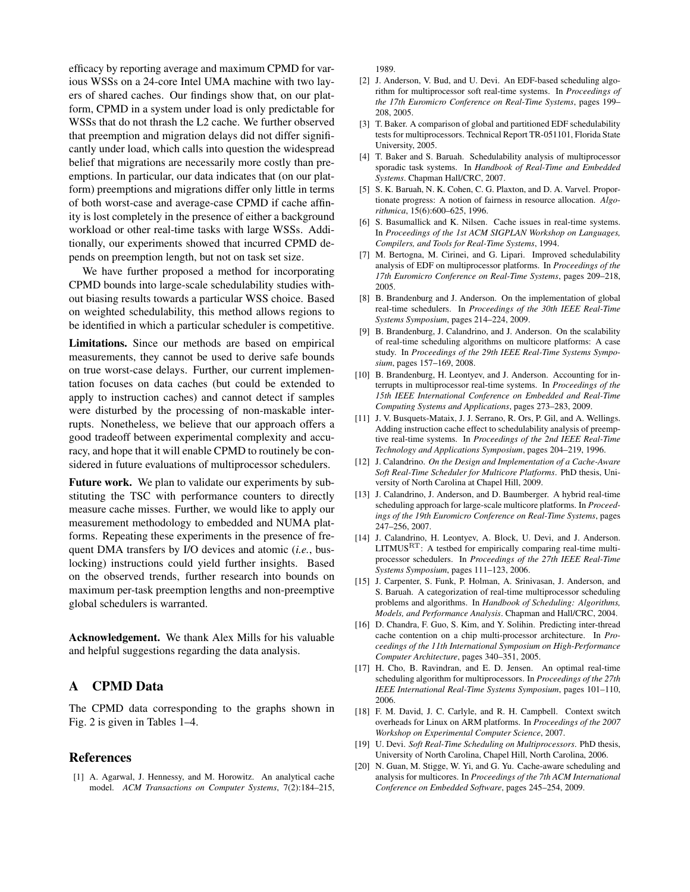efficacy by reporting average and maximum CPMD for various WSSs on a 24-core Intel UMA machine with two layers of shared caches. Our findings show that, on our platform, CPMD in a system under load is only predictable for WSSs that do not thrash the L2 cache. We further observed that preemption and migration delays did not differ significantly under load, which calls into question the widespread belief that migrations are necessarily more costly than preemptions. In particular, our data indicates that (on our platform) preemptions and migrations differ only little in terms of both worst-case and average-case CPMD if cache affinity is lost completely in the presence of either a background workload or other real-time tasks with large WSSs. Additionally, our experiments showed that incurred CPMD depends on preemption length, but not on task set size.

We have further proposed a method for incorporating CPMD bounds into large-scale schedulability studies without biasing results towards a particular WSS choice. Based on weighted schedulability, this method allows regions to be identified in which a particular scheduler is competitive.

Limitations. Since our methods are based on empirical measurements, they cannot be used to derive safe bounds on true worst-case delays. Further, our current implementation focuses on data caches (but could be extended to apply to instruction caches) and cannot detect if samples were disturbed by the processing of non-maskable interrupts. Nonetheless, we believe that our approach offers a good tradeoff between experimental complexity and accuracy, and hope that it will enable CPMD to routinely be considered in future evaluations of multiprocessor schedulers.

Future work. We plan to validate our experiments by substituting the TSC with performance counters to directly measure cache misses. Further, we would like to apply our measurement methodology to embedded and NUMA platforms. Repeating these experiments in the presence of frequent DMA transfers by I/O devices and atomic (*i.e.*, buslocking) instructions could yield further insights. Based on the observed trends, further research into bounds on maximum per-task preemption lengths and non-preemptive global schedulers is warranted.

Acknowledgement. We thank Alex Mills for his valuable and helpful suggestions regarding the data analysis.

## A CPMD Data

The CPMD data corresponding to the graphs shown in Fig. 2 is given in Tables 1–4.

## References

[1] A. Agarwal, J. Hennessy, and M. Horowitz. An analytical cache model. *ACM Transactions on Computer Systems*, 7(2):184–215, 1989.

- [2] J. Anderson, V. Bud, and U. Devi. An EDF-based scheduling algorithm for multiprocessor soft real-time systems. In *Proceedings of the 17th Euromicro Conference on Real-Time Systems*, pages 199– 208, 2005.
- [3] T. Baker. A comparison of global and partitioned EDF schedulability tests for multiprocessors. Technical Report TR-051101, Florida State University, 2005.
- [4] T. Baker and S. Baruah. Schedulability analysis of multiprocessor sporadic task systems. In *Handbook of Real-Time and Embedded Systems*. Chapman Hall/CRC, 2007.
- [5] S. K. Baruah, N. K. Cohen, C. G. Plaxton, and D. A. Varvel. Proportionate progress: A notion of fairness in resource allocation. *Algorithmica*, 15(6):600–625, 1996.
- [6] S. Basumallick and K. Nilsen. Cache issues in real-time systems. In *Proceedings of the 1st ACM SIGPLAN Workshop on Languages, Compilers, and Tools for Real-Time Systems*, 1994.
- [7] M. Bertogna, M. Cirinei, and G. Lipari. Improved schedulability analysis of EDF on multiprocessor platforms. In *Proceedings of the 17th Euromicro Conference on Real-Time Systems*, pages 209–218, 2005.
- [8] B. Brandenburg and J. Anderson. On the implementation of global real-time schedulers. In *Proceedings of the 30th IEEE Real-Time Systems Symposium*, pages 214–224, 2009.
- [9] B. Brandenburg, J. Calandrino, and J. Anderson. On the scalability of real-time scheduling algorithms on multicore platforms: A case study. In *Proceedings of the 29th IEEE Real-Time Systems Symposium*, pages 157–169, 2008.
- [10] B. Brandenburg, H. Leontyev, and J. Anderson. Accounting for interrupts in multiprocessor real-time systems. In *Proceedings of the 15th IEEE International Conference on Embedded and Real-Time Computing Systems and Applications*, pages 273–283, 2009.
- [11] J. V. Busquets-Mataix, J. J. Serrano, R. Ors, P. Gil, and A. Wellings. Adding instruction cache effect to schedulability analysis of preemptive real-time systems. In *Proceedings of the 2nd IEEE Real-Time Technology and Applications Symposium*, pages 204–219, 1996.
- [12] J. Calandrino. *On the Design and Implementation of a Cache-Aware Soft Real-Time Scheduler for Multicore Platforms*. PhD thesis, University of North Carolina at Chapel Hill, 2009.
- [13] J. Calandrino, J. Anderson, and D. Baumberger. A hybrid real-time scheduling approach for large-scale multicore platforms. In *Proceedings of the 19th Euromicro Conference on Real-Time Systems*, pages 247–256, 2007.
- [14] J. Calandrino, H. Leontyev, A. Block, U. Devi, and J. Anderson. LITMUSRT: A testbed for empirically comparing real-time multiprocessor schedulers. In *Proceedings of the 27th IEEE Real-Time Systems Symposium*, pages 111–123, 2006.
- [15] J. Carpenter, S. Funk, P. Holman, A. Srinivasan, J. Anderson, and S. Baruah. A categorization of real-time multiprocessor scheduling problems and algorithms. In *Handbook of Scheduling: Algorithms, Models, and Performance Analysis*. Chapman and Hall/CRC, 2004.
- [16] D. Chandra, F. Guo, S. Kim, and Y. Solihin. Predicting inter-thread cache contention on a chip multi-processor architecture. In *Proceedings of the 11th International Symposium on High-Performance Computer Architecture*, pages 340–351, 2005.
- [17] H. Cho, B. Ravindran, and E. D. Jensen. An optimal real-time scheduling algorithm for multiprocessors. In *Proceedings of the 27th IEEE International Real-Time Systems Symposium*, pages 101–110, 2006.
- [18] F. M. David, J. C. Carlyle, and R. H. Campbell. Context switch overheads for Linux on ARM platforms. In *Proceedings of the 2007 Workshop on Experimental Computer Science*, 2007.
- [19] U. Devi. *Soft Real-Time Scheduling on Multiprocessors*. PhD thesis, University of North Carolina, Chapel Hill, North Carolina, 2006.
- [20] N. Guan, M. Stigge, W. Yi, and G. Yu. Cache-aware scheduling and analysis for multicores. In *Proceedings of the 7th ACM International Conference on Embedded Software*, pages 245–254, 2009.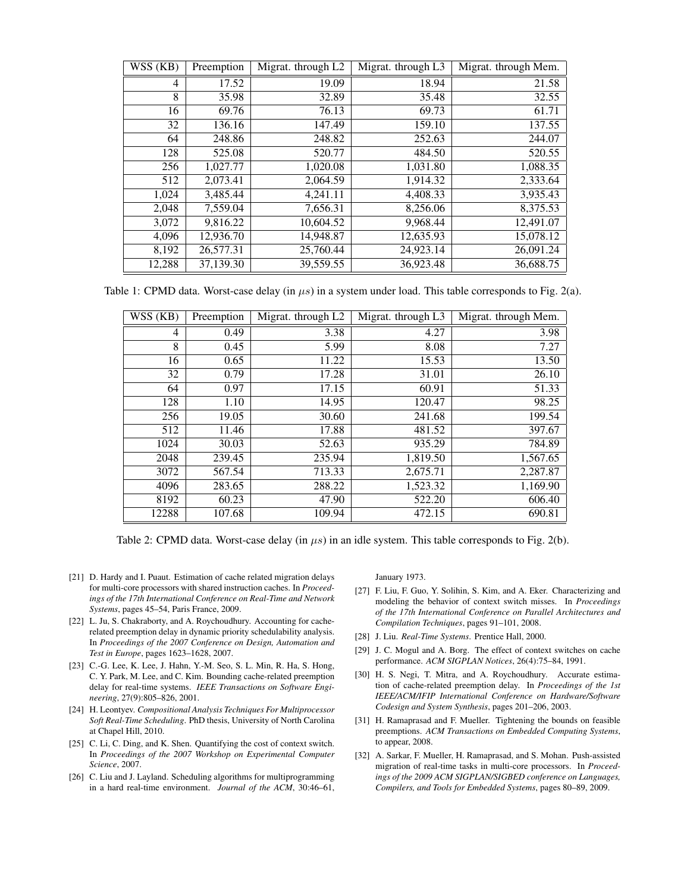| WSS (KB) | Preemption | Migrat. through L2 | Migrat. through L3 | Migrat. through Mem. |
|----------|------------|--------------------|--------------------|----------------------|
| 4        | 17.52      | 19.09              | 18.94              | 21.58                |
| 8        | 35.98      | 32.89              | 35.48              | 32.55                |
| 16       | 69.76      | 76.13              | 69.73              | 61.71                |
| 32       | 136.16     | 147.49             | 159.10             | 137.55               |
| 64       | 248.86     | 248.82             | 252.63             | 244.07               |
| 128      | 525.08     | 520.77             | 484.50             | 520.55               |
| 256      | 1,027.77   | 1,020.08           | 1,031.80           | 1,088.35             |
| 512      | 2,073.41   | 2,064.59           | 1,914.32           | 2,333.64             |
| 1,024    | 3,485.44   | 4,241.11           | 4,408.33           | 3,935.43             |
| 2,048    | 7,559.04   | 7,656.31           | 8,256.06           | 8,375.53             |
| 3,072    | 9.816.22   | 10,604.52          | 9,968.44           | 12.491.07            |
| 4,096    | 12,936.70  | 14,948.87          | 12,635.93          | 15,078.12            |
| 8,192    | 26,577.31  | 25,760.44          | 24,923.14          | 26,091.24            |
| 12,288   | 37,139.30  | 39,559.55          | 36,923.48          | 36,688.75            |

Table 1: CPMD data. Worst-case delay (in  $\mu s$ ) in a system under load. This table corresponds to Fig. 2(a).

| WSS (KB) | Preemption | Migrat. through L2 | Migrat. through L3 | Migrat. through Mem. |
|----------|------------|--------------------|--------------------|----------------------|
| 4        | 0.49       | 3.38               | 4.27               | 3.98                 |
| 8        | 0.45       | 5.99               | 8.08               | 7.27                 |
| 16       | 0.65       | 11.22              | 15.53              | 13.50                |
| 32       | 0.79       | 17.28              | 31.01              | 26.10                |
| 64       | 0.97       | 17.15              | 60.91              | 51.33                |
| 128      | 1.10       | 14.95              | 120.47             | 98.25                |
| 256      | 19.05      | 30.60              | 241.68             | 199.54               |
| 512      | 11.46      | 17.88              | 481.52             | 397.67               |
| 1024     | 30.03      | 52.63              | 935.29             | 784.89               |
| 2048     | 239.45     | 235.94             | 1,819.50           | 1,567.65             |
| 3072     | 567.54     | 713.33             | 2,675.71           | 2,287.87             |
| 4096     | 283.65     | 288.22             | 1,523.32           | 1,169.90             |
| 8192     | 60.23      | 47.90              | 522.20             | 606.40               |
| 12288    | 107.68     | 109.94             | 472.15             | 690.81               |

Table 2: CPMD data. Worst-case delay (in  $\mu s$ ) in an idle system. This table corresponds to Fig. 2(b).

- [21] D. Hardy and I. Puaut. Estimation of cache related migration delays for multi-core processors with shared instruction caches. In *Proceedings of the 17th International Conference on Real-Time and Network Systems*, pages 45–54, Paris France, 2009.
- [22] L. Ju, S. Chakraborty, and A. Roychoudhury. Accounting for cacherelated preemption delay in dynamic priority schedulability analysis. In *Proceedings of the 2007 Conference on Design, Automation and Test in Europe*, pages 1623–1628, 2007.
- [23] C.-G. Lee, K. Lee, J. Hahn, Y.-M. Seo, S. L. Min, R. Ha, S. Hong, C. Y. Park, M. Lee, and C. Kim. Bounding cache-related preemption delay for real-time systems. *IEEE Transactions on Software Engineering*, 27(9):805–826, 2001.
- [24] H. Leontyev. *Compositional Analysis Techniques For Multiprocessor Soft Real-Time Scheduling*. PhD thesis, University of North Carolina at Chapel Hill, 2010.
- [25] C. Li, C. Ding, and K. Shen. Quantifying the cost of context switch. In *Proceedings of the 2007 Workshop on Experimental Computer Science*, 2007.
- [26] C. Liu and J. Layland. Scheduling algorithms for multiprogramming in a hard real-time environment. *Journal of the ACM*, 30:46–61,

January 1973.

- [27] F. Liu, F. Guo, Y. Solihin, S. Kim, and A. Eker. Characterizing and modeling the behavior of context switch misses. In *Proceedings of the 17th International Conference on Parallel Architectures and Compilation Techniques*, pages 91–101, 2008.
- [28] J. Liu. *Real-Time Systems*. Prentice Hall, 2000.
- [29] J. C. Mogul and A. Borg. The effect of context switches on cache performance. *ACM SIGPLAN Notices*, 26(4):75–84, 1991.
- [30] H. S. Negi, T. Mitra, and A. Roychoudhury. Accurate estimation of cache-related preemption delay. In *Proceedings of the 1st IEEE/ACM/IFIP International Conference on Hardware/Software Codesign and System Synthesis*, pages 201–206, 2003.
- [31] H. Ramaprasad and F. Mueller. Tightening the bounds on feasible preemptions. *ACM Transactions on Embedded Computing Systems*, to appear, 2008.
- [32] A. Sarkar, F. Mueller, H. Ramaprasad, and S. Mohan. Push-assisted migration of real-time tasks in multi-core processors. In *Proceedings of the 2009 ACM SIGPLAN/SIGBED conference on Languages, Compilers, and Tools for Embedded Systems*, pages 80–89, 2009.